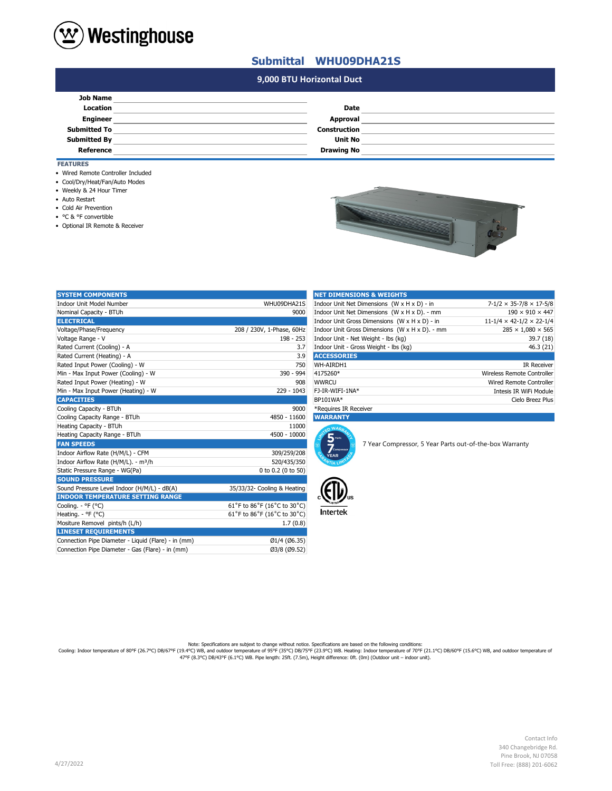

## **Submittal WHU09DHA21S**

## **#N/A 9,000 BTU Horizontal Duct**

| <b>Job Name</b>     |                     |  |
|---------------------|---------------------|--|
| Location            | Date                |  |
| <b>Engineer</b>     | Approval            |  |
| <b>Submitted To</b> | <b>Construction</b> |  |
| <b>Submitted By</b> | <b>Unit No</b>      |  |
| Reference           | <b>Drawing No</b>   |  |

## **FEATURES**

- Wired Remote Controller Included
- Cool/Dry/Heat/Fan/Auto Modes
- Weekly & 24 Hour Timer
- Auto Restart
- Cold Air Prevention
- °C & °F convertible
- Optional IR Remote & Receiver

| <b>STATISTICS</b> | ā |
|-------------------|---|
|                   |   |

| <b>SYSTEM COMPONENTS</b>                            |                             | <b>NET DIMENSIONS &amp; WEIGHTS</b>                                                |                                                         |                                            |
|-----------------------------------------------------|-----------------------------|------------------------------------------------------------------------------------|---------------------------------------------------------|--------------------------------------------|
| Indoor Unit Model Number                            | WHU09DHA21S                 | Indoor Unit Net Dimensions (W x H x D) - in<br>$7-1/2 \times 35-7/8 \times 17-5/8$ |                                                         |                                            |
| Nominal Capacity - BTUh                             | 9000                        | Indoor Unit Net Dimensions (W x H x D). - mm                                       |                                                         | $190 \times 910 \times 447$                |
| <b>ELECTRICAL</b>                                   |                             |                                                                                    | Indoor Unit Gross Dimensions (W x H x D) - in           | $11 - 1/4 \times 42 - 1/2 \times 22 - 1/4$ |
| Voltage/Phase/Frequency                             | 208 / 230V, 1-Phase, 60Hz   | Indoor Unit Gross Dimensions (W x H x D). - mm<br>$285 \times 1,080 \times 565$    |                                                         |                                            |
| Voltage Range - V                                   | $198 - 253$                 | Indoor Unit - Net Weight - lbs (kg)<br>39.7 (18)                                   |                                                         |                                            |
| Rated Current (Cooling) - A                         | 3.7                         | Indoor Unit - Gross Weight - Ibs (kg)<br>46.3 (21)                                 |                                                         |                                            |
| Rated Current (Heating) - A                         | 3.9                         | <b>ACCESSORIES</b>                                                                 |                                                         |                                            |
| Rated Input Power (Cooling) - W                     | 750                         | WH-AIRDH1                                                                          |                                                         | <b>IR Receiver</b>                         |
| Min - Max Input Power (Cooling) - W                 | 390 - 994                   | 4175260*                                                                           |                                                         | Wireless Remote Controller                 |
| Rated Input Power (Heating) - W                     | 908                         | <b>WWRCU</b>                                                                       |                                                         | Wired Remote Controller                    |
| Min - Max Input Power (Heating) - W                 | $229 - 1043$                | FJ-IR-WIFI-1NA*                                                                    |                                                         | Intesis IR WiFi Module                     |
| <b>CAPACITIES</b>                                   |                             | BP101WA*                                                                           |                                                         | Cielo Breez Plus                           |
| Cooling Capacity - BTUh                             | 9000                        | *Requires IR Receiver                                                              |                                                         |                                            |
| Cooling Capacity Range - BTUh                       | 4850 - 11600                | <b>WARRANTY</b>                                                                    |                                                         |                                            |
| Heating Capacity - BTUh                             | 11000                       | n WAR                                                                              |                                                         |                                            |
| Heating Capacity Range - BTUh                       | 4500 - 10000                | 5 <sub>parts</sub>                                                                 |                                                         |                                            |
| <b>FAN SPEEDS</b>                                   |                             | $\overline{Z}$ <sub>compressor</sub>                                               | 7 Year Compressor, 5 Year Parts out-of-the-box Warranty |                                            |
| Indoor Airflow Rate (H/M/L) - CFM                   | 309/259/208                 | <b>YEAR</b>                                                                        |                                                         |                                            |
| Indoor Airflow Rate (H/M/L). - m <sup>3</sup> /h    | 520/435/350                 |                                                                                    |                                                         |                                            |
| Static Pressure Range - WG(Pa)                      | 0 to 0.2 (0 to 50)          |                                                                                    |                                                         |                                            |
| <b>SOUND PRESSURE</b>                               |                             |                                                                                    |                                                         |                                            |
| Sound Pressure Level Indoor (H/M/L) - dB(A)         | 35/33/32- Cooling & Heating |                                                                                    |                                                         |                                            |
| <b>INDOOR TEMPERATURE SETTING RANGE</b>             |                             |                                                                                    |                                                         |                                            |
| Cooling. - °F (°C)                                  | 61°F to 86°F (16°C to 30°C) |                                                                                    |                                                         |                                            |
| Heating. - ${}^{\circ}$ F ( ${}^{\circ}$ C)         | 61°F to 86°F (16°C to 30°C) | <b>Intertek</b>                                                                    |                                                         |                                            |
| Mositure Removel pints/h (L/h)                      | 1.7(0.8)                    |                                                                                    |                                                         |                                            |
| <b>LINESET REQUIREMENTS</b>                         |                             |                                                                                    |                                                         |                                            |
| Connection Pipe Diameter - Liquid (Flare) - in (mm) | Ø1/4 (Ø6.35)                |                                                                                    |                                                         |                                            |
| Connection Pipe Diameter - Gas (Flare) - in (mm)    | Ø3/8 (Ø9.52)                |                                                                                    |                                                         |                                            |

| <b>NET DIMENSIONS &amp; WEIGHTS</b>            |                                      |
|------------------------------------------------|--------------------------------------|
| Indoor Unit Net Dimensions (W x H x D) - in    | $7-1/2 \times 35-7/8 \times 17-5/8$  |
| Indoor Unit Net Dimensions (W x H x D). - mm   | $190 \times 910 \times 447$          |
| Indoor Unit Gross Dimensions (W x H x D) - in  | $11-1/4 \times 42-1/2 \times 22-1/4$ |
| Indoor Unit Gross Dimensions (W x H x D). - mm | $285 \times 1.080 \times 565$        |
| Indoor Unit - Net Weight - Ibs (kg)            | 39.7(18)                             |
| Indoor Unit - Gross Weight - Ibs (kg)          | 46.3(21)                             |
| <b>ACCESSORIES</b>                             |                                      |
| WH-AIRDH1                                      | <b>IR Receiver</b>                   |
| 4175260*                                       | Wireless Remote Controller           |
| <b>WWRCU</b>                                   | Wired Remote Controller              |
| FJ-IR-WIFI-1NA*                                | Intesis IR WiFi Module               |
| BP101WA*                                       | Cielo Breez Plus                     |
| *Requires IR Receiver                          |                                      |





Note: Specifications are subjext to change without notice. Specifications are based on the following conditions:<br>Cooling: Indoor temperature of 80°F (26.7°C) DB/67°F (19.4°C) WB, and outdoor temperature of 90°F (21.1°C) DB